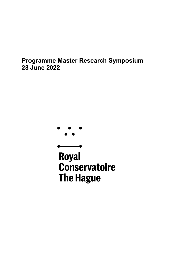# **Programme Master Research Symposium 28 June 2022**



**Royal Conservatoire The Hague**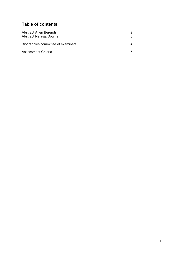## **Table of contents**

| <b>Abstract Arjen Berends</b><br>Abstract Natasja Douma |    |
|---------------------------------------------------------|----|
| Biographies committee of examiners                      |    |
| Assessment Criteria                                     | 5. |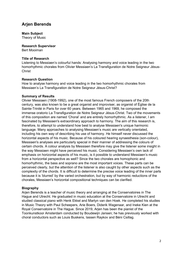### **Arjen Berends**

**Main Subject**

Theory of Music

**Research Supervisor** Bert Mooiman

## **Title of Research**

Listening to Messiaen's colourful hands: Analysing harmony and voice leading in the two homorhythmic chorales from Olivier Messiaen's La Transfiguration de Notre Seigneur Jésus-**Christ** 

### **Research Question**

How to analyse harmony and voice leading in the two homorhythmic chorales from Messiaen's La Transfiguration de Notre Seigneur Jésus-Christ?

### **Summary of Results**

Olivier Messiaen (1908-1992), one of the most famous French composers of the 20th century, was also known to be a great organist and improviser, as organist of Église de la Sainte-Trinité in Paris for over 60 years. Between 1965 and 1969, he composed the immense oratorio La Transfiguration de Notre Seigneur Jésus-Christ. Two of the movements of this composition are named 'Choral' and are entirely homorhythmic. As a listener, I am fascinated by Messiaen's extraordinary approach to harmony. The aim of this research is, therefore, to attempt to understand how best to analyse Messiaen's unique harmonic language. Many approaches to analysing Messiaen's music are vertically orientated, including his own way of describing his use of harmony. He himself never discussed the horizontal aspects of his music. Because of his coloured hearing synaesthesia (son-colour), Messiaen's analyses are particularly special in their manner of addressing the colours of certain chords. A colour analysis by Messiaen therefore may give the listener some insight in the way Messiaen might have perceived his music. Considering Messiaen's own lack of emphasis on horizontal aspects of his music, is it possible to understand Messiaen's music from a horizontal perspective as well? Since the two chorales are homophonic and homorhythmic, the bass and soprano are the most important voices. These parts can be perceived clearly, but the attention of the listener is also caught by other aspects such as the complexity of the chords. It is difficult to determine the precise voice leading of the inner parts because it is 'blurred' by the varied orchestration, but by way of harmonic reductions of the chorales, Messiaen's horizontal compositional techniques can be clarified.

### **Biography**

Arjen Berends is a teacher of music theory and arranging at the Conservatoires in The Hague and Utrecht. He graduated in music education at the Conservatoire in Utrecht and studied classical piano with Henk Ekkel and Martyn van den Hoek. He completed his studies in Music Theory with Paul Scheepers, Arie Boers, Diderik Wagenaar, and Ineke Kien at the Royal Conservatoire in The Hague. Since 2019, Arjen has been the pianist of the Toonkunstkoor Amsterdam conducted by Boudewijn Jansen; he has previously worked with choral conductors such as Louis Buskens, Iassen Raykov and Béni Csillag.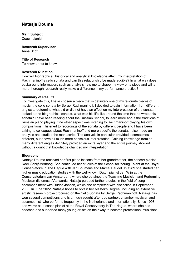### **Natasja Douma**

**Main Subject** Coach pianist

**Research Supervisor** Anna Scott

#### **Title of Research**

To know or not to know

#### **Research Question**

How will biographical, historical and analytical knowledge affect my interpretation of Rachmaninoff's cello sonata and can this relationship be made audible? In what way does background information, such as analysis help me to shape my view on a piece and will a more thorough research really make a difference in my performance practice?

#### **Summary of Results**

To investigate this, I have chosen a piece that is definitely one of my favourite pieces of music, the cello sonata by Sergei Rachmaninoff. I decided to gain information from different angles to determine what did or did not have an effect on my interpretation of the sonata. I looked at the biographical context, what was his life like around the time that he wrote this sonata? I have been reading about the Russian School, to learn more about the traditions of Russian piano playing. One other aspect was listening to Rachmaninoff playing his own compositions. I listened to recordings of the sonata by different people and I have been talking to colleagues about Rachmaninoff and more specific the sonata. I also made an analysis and studied the manuscript. The analysis in particular provided a sometimes different, but above all much more conscious interpretation. Gaining knowledge from so many different angles definitely provided an extra layer and the entire journey showed without a doubt that knowledge changed my interpretation.

#### **Biography**

Natasja Douma received her first piano lessons from her grandmother, the concert pianist Roeli Schijf-Verhoog. She continued her studies at the School for Young Talent at the Royal Conservatoire in The Hague with Jan Boumans and Marcel Baudet. In 1989 she started her higher music education studies with the well-known Dutch pianist Jan Wijn at the Conservatorium van Amsterdam, where she obtained the Teaching Musician and Performing Musician diplomas. Afterwards, Natasja pursued further studies in the field of song accompaniment with Rudolf Jansen, which she completed with distinction in September 2000. In June 2022, Natasja hopes to obtain her Master's Degree, including an extensive artistic research project focused on the Cello Sonata by Sergei Rachmaninoff. Natasja has won several competitions and is a much sought-after duo partner, chamber musician and accompanist, who performs frequently in the Netherlands and internationally. Since 1998, she works as a coach pianist at the Royal Conservatory in The Hague, where she has coached and supported many young artists on their way to become professional musicians.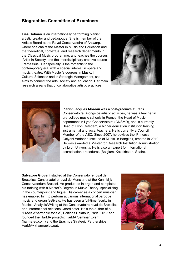### **Biographies Committee of Examiners**

**Lies Colman** is an internationally performing pianist, artistic creator and pedagogue. She is member of the Artistic Board at the Royal Conservatoire of Antwerp, where she chairs the Master in Music and Education and the theoretical, contextual and research departments in the Classical Music programme, and teaches the courses 'Artist in Society' and the interdisciplinary creative course 'Parnassus'. Her specialty is the romantic to the contemporary era, with a special interest in opera and music theatre. With Master's degrees in Music, in Cultural Sciences and in Strategic Management, she aims to connect the arts, society and education. Her main research area is that of collaborative artistic practices.





Pianist **Jacques Moreau** was a post-graduate at Paris Conservatoire. Alongside artistic activities, he was a teacher in pre-college music schools in France, the Head of Music department in Lyon Conservatoire (CNSMD), and is currently Head of Lyon Cefedem, a higher education institution training instrumental and vocal teachers. He is currently a Council Member of the AEC. Since 2007, he advises the 'Princess Galyani Vadhana Institute of Music' in Bangkok, created in 2010. He was awarded a Master for Research Institution administration by Lyon University. He is also an expert for international accreditation procedures (Belgium, Kazakhstan, Spain).

**Salvatore Gioveni** studied at the Conservatoire royal de Bruxelles, Conservatoire royal de Mons and at the Koninklijk Conservatorium Brussel. He graduated in organ and completed his training with a Master's Degree in Music Theory, specializing in the counterpoint and fugue. His career as a concert musician has enabled him to perform at various international baroque music and organ festivals. He has been a full-time faculty in Musical Analysis/Writing at the Conservatoire royal de Bruxelles and International relations Coordinator. He's the author of a "Précis d'harmonie tonale", Editions Delatour, Paris, 2017 and founded the HarMA projects: HarMA Seminar Event [\(harma.eu.com\)](http://harma.eu.com/) and the Erasmus Strategic Partnerships HarMA+ [\(harmaplus.eu\)](http://harmaplus.eu/).